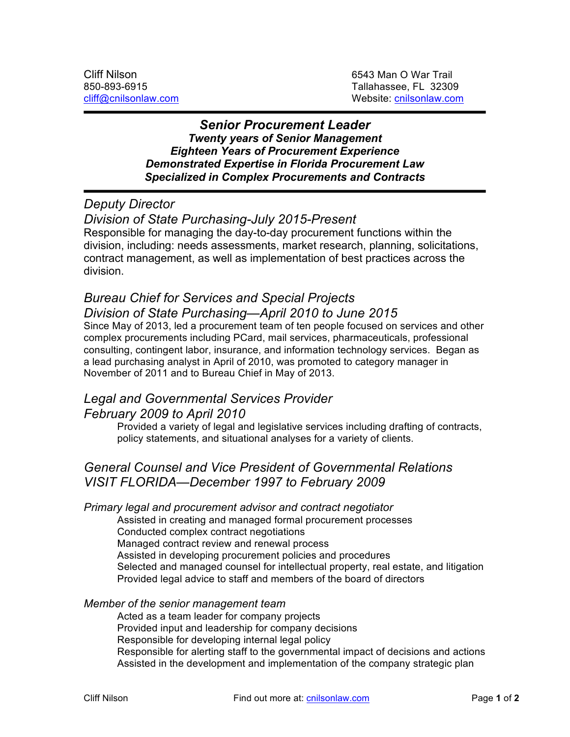### *Senior Procurement Leader Twenty years of Senior Management Eighteen Years of Procurement Experience Demonstrated Expertise in Florida Procurement Law Specialized in Complex Procurements and Contracts*

## *Deputy Director*

*Division of State Purchasing-July 2015-Present*

Responsible for managing the day-to-day procurement functions within the division, including: needs assessments, market research, planning, solicitations, contract management, as well as implementation of best practices across the division.

# *Bureau Chief for Services and Special Projects Division of State Purchasing—April 2010 to June 2015*

Since May of 2013, led a procurement team of ten people focused on services and other complex procurements including PCard, mail services, pharmaceuticals, professional consulting, contingent labor, insurance, and information technology services. Began as a lead purchasing analyst in April of 2010, was promoted to category manager in November of 2011 and to Bureau Chief in May of 2013.

## *Legal and Governmental Services Provider February 2009 to April 2010*

Provided a variety of legal and legislative services including drafting of contracts, policy statements, and situational analyses for a variety of clients.

# *General Counsel and Vice President of Governmental Relations VISIT FLORIDA—December 1997 to February 2009*

### *Primary legal and procurement advisor and contract negotiator*

Assisted in creating and managed formal procurement processes

Conducted complex contract negotiations

Managed contract review and renewal process

Assisted in developing procurement policies and procedures

Selected and managed counsel for intellectual property, real estate, and litigation Provided legal advice to staff and members of the board of directors

### *Member of the senior management team*

Acted as a team leader for company projects Provided input and leadership for company decisions Responsible for developing internal legal policy Responsible for alerting staff to the governmental impact of decisions and actions Assisted in the development and implementation of the company strategic plan